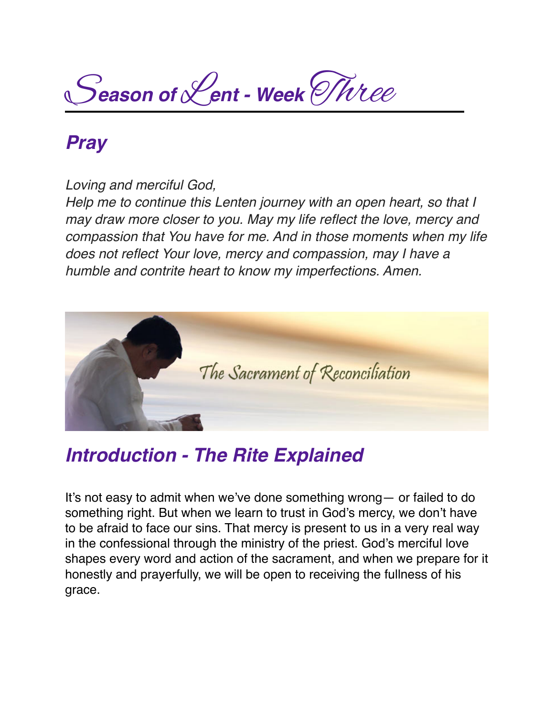S*eason of* L*ent - Week* Three

### *Pray*

*Loving and merciful God,*

*Help me to continue this Lenten journey with an open heart, so that I may draw more closer to you. May my life reflect the love, mercy and compassion that You have for me. And in those moments when my life does not reflect Your love, mercy and compassion, may I have a humble and contrite heart to know my imperfections. Amen.*



### *Introduction - The Rite Explained*

It's not easy to admit when we've done something wrong— or failed to do something right. But when we learn to trust in God's mercy, we don't have to be afraid to face our sins. That mercy is present to us in a very real way in the confessional through the ministry of the priest. God's merciful love shapes every word and action of the sacrament, and when we prepare for it honestly and prayerfully, we will be open to receiving the fullness of his grace.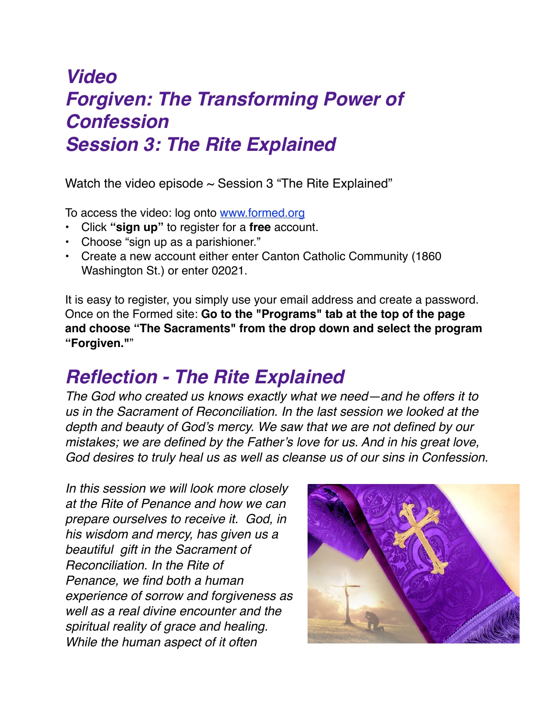# *Video Forgiven: The Transforming Power of Confession Session 3: The Rite Explained*

Watch the video episode  $\sim$  Session 3 "The Rite Explained"

To access the video: log onto [www.formed.org](http://www.formed.org/)

- Click **"sign up"** to register for a **free** account.
- Choose "sign up as a parishioner."
- Create a new account either enter Canton Catholic Community (1860 Washington St.) or enter 02021.

It is easy to register, you simply use your email address and create a password. Once on the Formed site: **Go to the "Programs" tab at the top of the page and choose "The Sacraments" from the drop down and select the program "Forgiven."**"

## *Reflection - The Rite Explained*

*The God who created us knows exactly what we need—and he offers it to us in the Sacrament of Reconciliation. In the last session we looked at the depth and beauty of God's mercy. We saw that we are not defined by our mistakes; we are defined by the Father's love for us. And in his great love, God desires to truly heal us as well as cleanse us of our sins in Confession.*

*In this session we will look more closely at the Rite of Penance and how we can prepare ourselves to receive it. God, in his wisdom and mercy, has given us a beautiful gift in the Sacrament of Reconciliation. In the Rite of Penance, we find both a human experience of sorrow and forgiveness as well as a real divine encounter and the spiritual reality of grace and healing. While the human aspect of it often* 

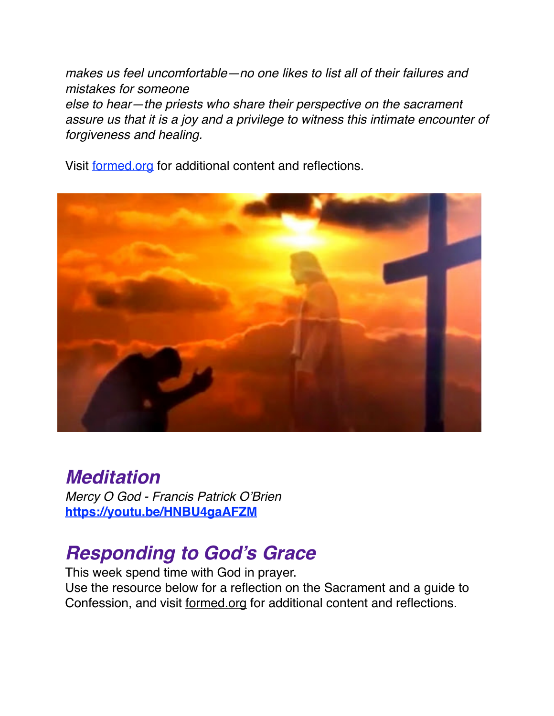*makes us feel uncomfortable—no one likes to list all of their failures and mistakes for someone else to hear—the priests who share their perspective on the sacrament assure us that it is a joy and a privilege to witness this intimate encounter of forgiveness and healing.* 

Visit [formed.org](http://formed.org) for additional content and reflections.



### *Meditation*

*Mercy O God - Francis Patrick O'Brien* **<https://youtu.be/HNBU4gaAFZM>**

# *Responding to God's Grace*

This week spend time with God in prayer. Use the resource below for a reflection on the Sacrament and a guide to Confession, and visit [formed.org](http://formed.org) for additional content and reflections.